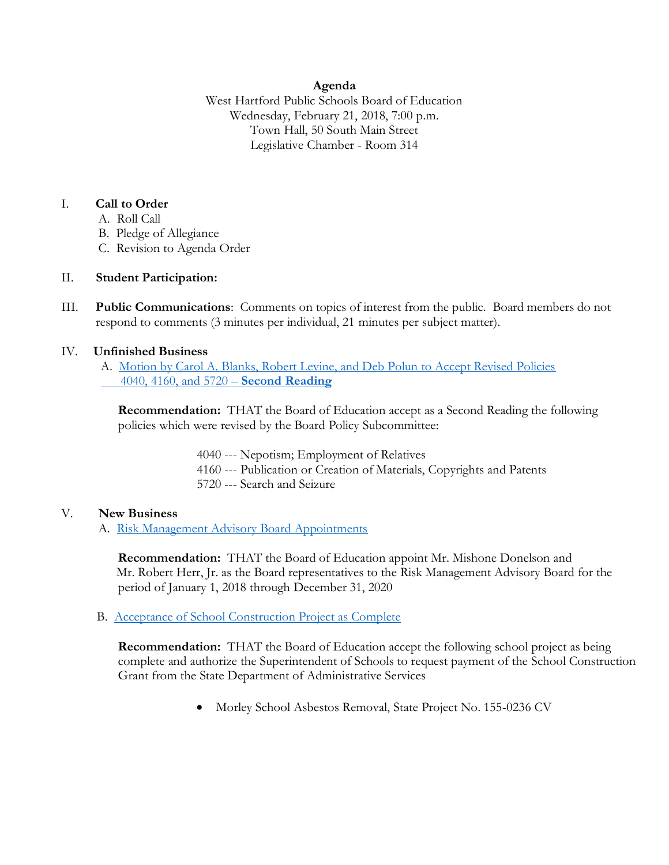#### **Agenda**

West Hartford Public Schools Board of Education Wednesday, February 21, 2018, 7:00 p.m. Town Hall, 50 South Main Street Legislative Chamber - Room 314

#### I. **Call to Order**

- A. Roll Call
- B. Pledge of Allegiance
- C. Revision to Agenda Order

# II. **Student Participation:**

III. **Public Communications**: Comments on topics of interest from the public. Board members do not respond to comments (3 minutes per individual, 21 minutes per subject matter).

# IV. **Unfinished Business**

A. [Motion by Carol A. Blanks, Robert Levine, and Deb Polun to Accept Revised Policies](https://www.whps.org/uploaded/BOE/BOE_Documents/20180221/2-21-18_agenda_item,_IV.A._4040,_4160,_5720,_2nd_rdg.pdf?1518789210294)   [4040, 4160, and 5720](https://www.whps.org/uploaded/BOE/BOE_Documents/20180221/2-21-18_agenda_item,_IV.A._4040,_4160,_5720,_2nd_rdg.pdf?1518789210294) – **Second Reading**

**Recommendation:** THAT the Board of Education accept as a Second Reading the following policies which were revised by the Board Policy Subcommittee:

- 4040 --- Nepotism; Employment of Relatives
- 4160 --- Publication or Creation of Materials, Copyrights and Patents
- 5720 --- Search and Seizure

# V. **New Business**

A. [Risk Management Advisory Board Appointments](https://www.whps.org/uploaded/BOE/BOE_Documents/20180221/Risk_Management.pdf?1518789174499)

**Recommendation:** THAT the Board of Education appoint Mr. Mishone Donelson and Mr. Robert Herr, Jr. as the Board representatives to the Risk Management Advisory Board for the period of January 1, 2018 through December 31, 2020

# B. [Acceptance of School Construction Project as Complete](https://www.whps.org/uploaded/BOE/BOE_Documents/20180221/V._B._Acceptance_of_School_Construction_as_Complete.pdf?1518789193811)

**Recommendation:** THAT the Board of Education accept the following school project as being complete and authorize the Superintendent of Schools to request payment of the School Construction Grant from the State Department of Administrative Services

• Morley School Asbestos Removal, State Project No. 155-0236 CV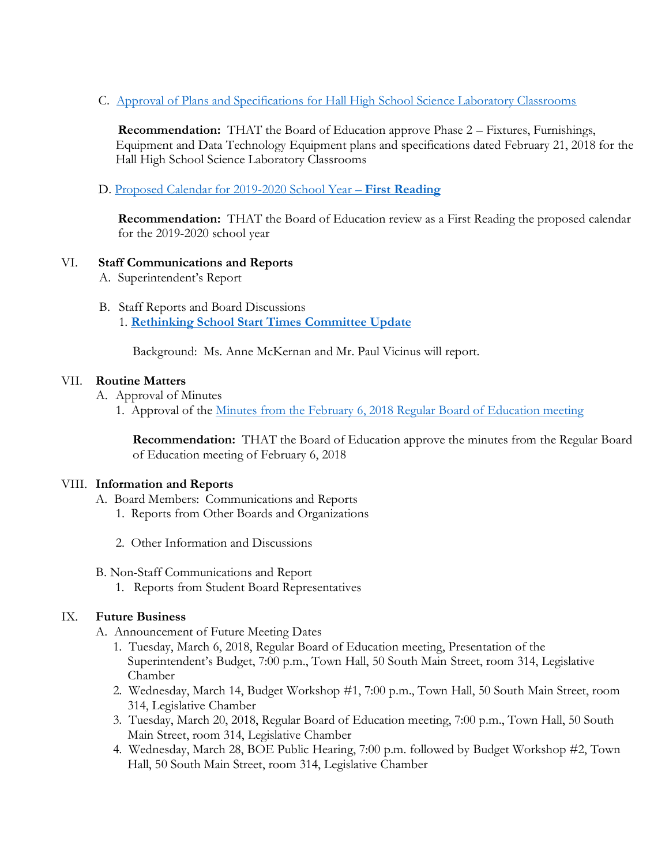C. [Approval of Plans and Specifications for Hall High School Science Laboratory Classrooms](https://www.whps.org/uploaded/BOE/BOE_Documents/20180221/V.C._Approval_of_Plans_and_Specs_for_HHS_Science_Lab..pdf?1518789142972)

**Recommendation:** THAT the Board of Education approve Phase 2 – Fixtures, Furnishings, Equipment and Data Technology Equipment plans and specifications dated February 21, 2018 for the Hall High School Science Laboratory Classrooms

D. [Proposed Calendar for 2019-2020 School Year](https://www.whps.org/uploaded/BOE/BOE_Documents/20180221/2019-2020_calendar_first_reading.pdf?1518789094811) – **First Reading**

**Recommendation:** THAT the Board of Education review as a First Reading the proposed calendar for the 2019-2020 school year

# VI. **Staff Communications and Reports**

- A. Superintendent's Report
- B. Staff Reports and Board Discussions 1. **[Rethinking School Start Times Committee Update](https://www.whps.org/uploaded/BOE/BOE_Documents/20180221/Rethinking_School_Start_Times_Update_2_v3.pdf?1518789112355)**

Background: Ms. Anne McKernan and Mr. Paul Vicinus will report.

# VII. **Routine Matters**

- A. Approval of Minutes
	- 1. Approval of the Minutes from the February 6, 2018 [Regular Board of Education meeting](https://www.whps.org/uploaded/BOE/BOE_Documents/20180221/February_6_2018_meeting.pdf?1518789076438)

**Recommendation:** THAT the Board of Education approve the minutes from the Regular Board of Education meeting of February 6, 2018

#### VIII. **Information and Reports**

- A. Board Members: Communications and Reports
	- 1. Reports from Other Boards and Organizations
	- 2. Other Information and Discussions
- B. Non-Staff Communications and Report
	- 1. Reports from Student Board Representatives

#### IX. **Future Business**

- A. Announcement of Future Meeting Dates
	- 1. Tuesday, March 6, 2018, Regular Board of Education meeting, Presentation of the Superintendent's Budget, 7:00 p.m., Town Hall, 50 South Main Street, room 314, Legislative Chamber
	- 2. Wednesday, March 14, Budget Workshop #1, 7:00 p.m., Town Hall, 50 South Main Street, room 314, Legislative Chamber
	- 3. Tuesday, March 20, 2018, Regular Board of Education meeting, 7:00 p.m., Town Hall, 50 South Main Street, room 314, Legislative Chamber
	- 4. Wednesday, March 28, BOE Public Hearing, 7:00 p.m. followed by Budget Workshop #2, Town Hall, 50 South Main Street, room 314, Legislative Chamber